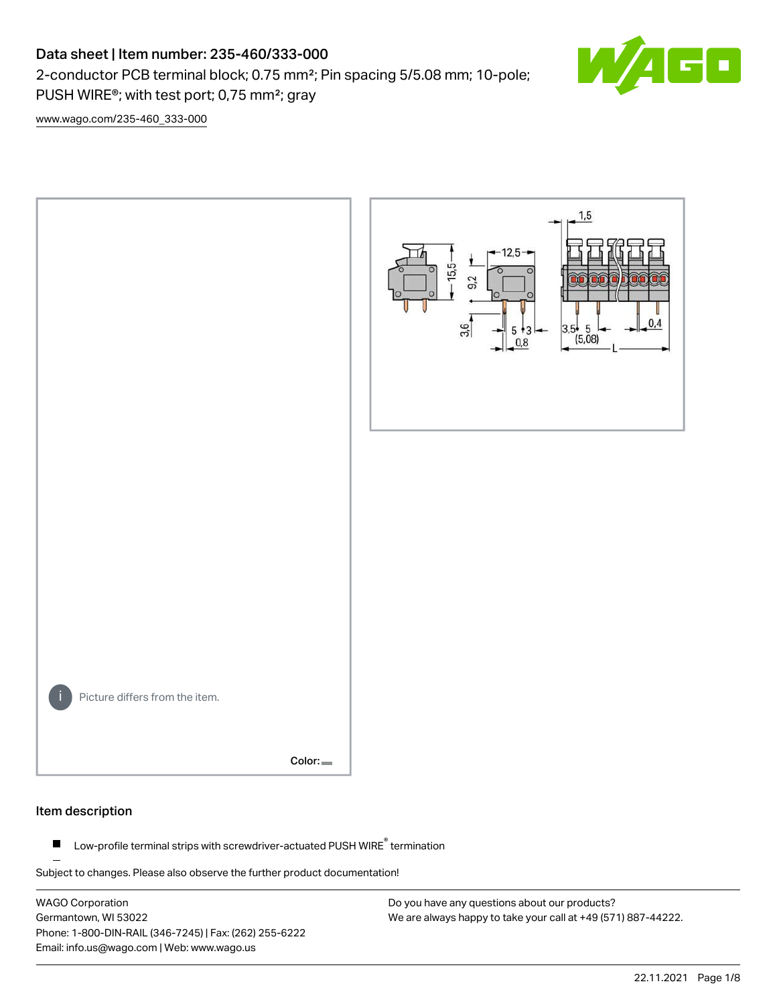## Data sheet | Item number: 235-460/333-000

2-conductor PCB terminal block; 0.75 mm²; Pin spacing 5/5.08 mm; 10-pole; PUSH WIRE®; with test port; 0,75 mm²; gray



[www.wago.com/235-460\\_333-000](http://www.wago.com/235-460_333-000)



#### Item description

Low-profile terminal strips with screwdriver-actuated PUSH WIRE® termination  $\blacksquare$ 

Subject to changes. Please also observe the further product documentation!

WAGO Corporation Germantown, WI 53022 Phone: 1-800-DIN-RAIL (346-7245) | Fax: (262) 255-6222 Email: info.us@wago.com | Web: www.wago.us

Do you have any questions about our products? We are always happy to take your call at +49 (571) 887-44222.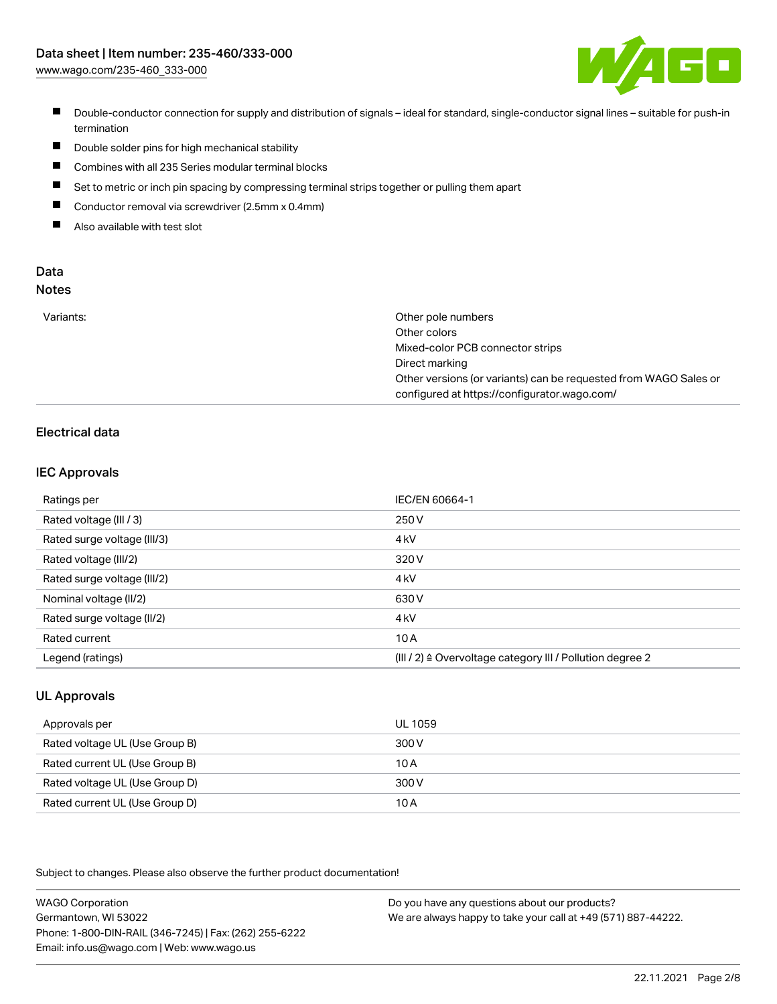

- Double-conductor connection for supply and distribution of signals ideal for standard, single-conductor signal lines suitable for push-in termination
- $\blacksquare$ Double solder pins for high mechanical stability
- $\blacksquare$ Combines with all 235 Series modular terminal blocks
- $\blacksquare$ Set to metric or inch pin spacing by compressing terminal strips together or pulling them apart
- $\blacksquare$ Conductor removal via screwdriver (2.5mm x 0.4mm)
- $\blacksquare$ Also available with test slot

#### Data Notes

| M.<br>۰, | I<br>×<br>v<br>۹<br>٠ | ×<br>۰. |
|----------|-----------------------|---------|
|          |                       |         |

| Variants: | Other pole numbers                                               |
|-----------|------------------------------------------------------------------|
|           | Other colors                                                     |
|           | Mixed-color PCB connector strips                                 |
|           | Direct marking                                                   |
|           | Other versions (or variants) can be requested from WAGO Sales or |
|           | configured at https://configurator.wago.com/                     |

## Electrical data

#### IEC Approvals

| Ratings per                 | IEC/EN 60664-1                                                       |
|-----------------------------|----------------------------------------------------------------------|
| Rated voltage (III / 3)     | 250 V                                                                |
| Rated surge voltage (III/3) | 4 <sub>kV</sub>                                                      |
| Rated voltage (III/2)       | 320 V                                                                |
| Rated surge voltage (III/2) | 4 <sub>kV</sub>                                                      |
| Nominal voltage (II/2)      | 630 V                                                                |
| Rated surge voltage (II/2)  | 4 <sub>kV</sub>                                                      |
| Rated current               | 10A                                                                  |
| Legend (ratings)            | (III / 2) $\triangleq$ Overvoltage category III / Pollution degree 2 |

#### UL Approvals

| Approvals per                  | UL 1059 |
|--------------------------------|---------|
| Rated voltage UL (Use Group B) | 300 V   |
| Rated current UL (Use Group B) | 10 A    |
| Rated voltage UL (Use Group D) | 300 V   |
| Rated current UL (Use Group D) | 10 A    |

Subject to changes. Please also observe the further product documentation!

| <b>WAGO Corporation</b>                                | Do you have any questions about our products?                 |
|--------------------------------------------------------|---------------------------------------------------------------|
| Germantown, WI 53022                                   | We are always happy to take your call at +49 (571) 887-44222. |
| Phone: 1-800-DIN-RAIL (346-7245)   Fax: (262) 255-6222 |                                                               |
| Email: info.us@wago.com   Web: www.wago.us             |                                                               |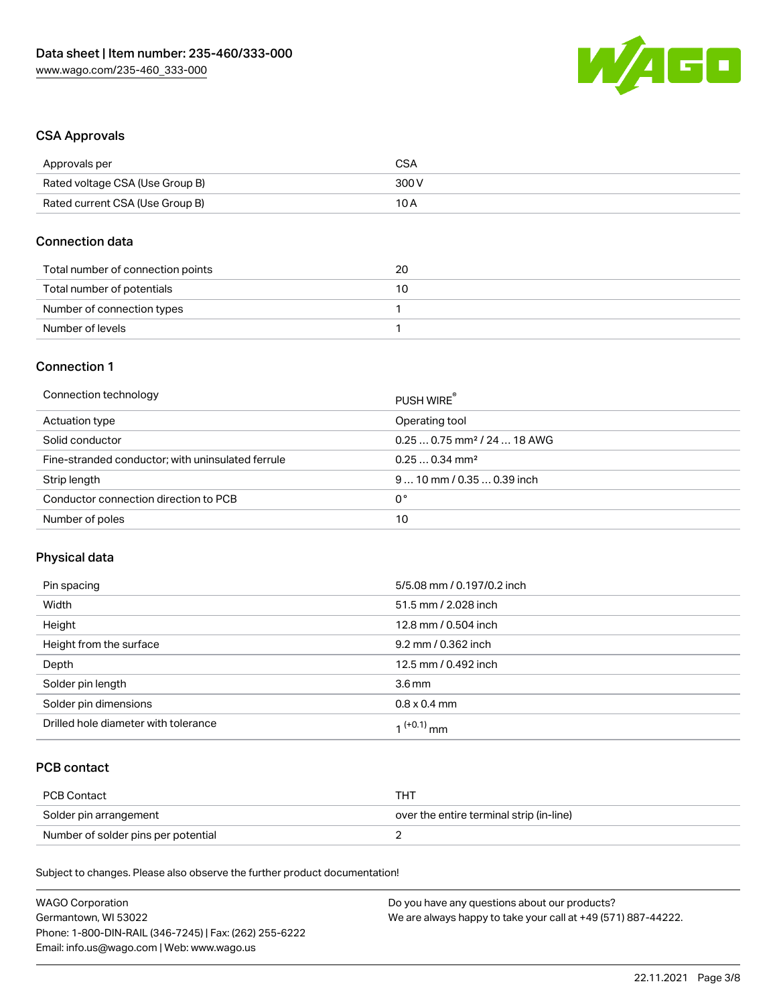

#### CSA Approvals

| Approvals per                   | <b>CSA</b> |
|---------------------------------|------------|
| Rated voltage CSA (Use Group B) | 300 V      |
| Rated current CSA (Use Group B) | 10 A       |

#### Connection data

| Total number of connection points | 20 |
|-----------------------------------|----|
| Total number of potentials        | 10 |
| Number of connection types        |    |
| Number of levels                  |    |

#### Connection 1

| Connection technology                             | PUSH WIRE                               |
|---------------------------------------------------|-----------------------------------------|
| Actuation type                                    | Operating tool                          |
| Solid conductor                                   | $0.250.75$ mm <sup>2</sup> / 24  18 AWG |
| Fine-stranded conductor; with uninsulated ferrule | $0.250.34$ mm <sup>2</sup>              |
| Strip length                                      | $910$ mm $/0.350.39$ inch               |
| Conductor connection direction to PCB             | 0°                                      |
| Number of poles                                   | 10                                      |

#### Physical data

| Pin spacing                          | 5/5.08 mm / 0.197/0.2 inch |
|--------------------------------------|----------------------------|
| Width                                | 51.5 mm / 2.028 inch       |
| Height                               | 12.8 mm / 0.504 inch       |
| Height from the surface              | 9.2 mm / 0.362 inch        |
| Depth                                | 12.5 mm / 0.492 inch       |
| Solder pin length                    | $3.6 \,\mathrm{mm}$        |
| Solder pin dimensions                | $0.8 \times 0.4$ mm        |
| Drilled hole diameter with tolerance | 1 <sup>(+0.1)</sup> mm     |

## PCB contact

| PCB Contact                         | TH .                                     |
|-------------------------------------|------------------------------------------|
| Solder pin arrangement              | over the entire terminal strip (in-line) |
| Number of solder pins per potential |                                          |

Subject to changes. Please also observe the further product documentation!

| <b>WAGO Corporation</b>                                | Do you have any questions about our products?                 |
|--------------------------------------------------------|---------------------------------------------------------------|
| Germantown, WI 53022                                   | We are always happy to take your call at +49 (571) 887-44222. |
| Phone: 1-800-DIN-RAIL (346-7245)   Fax: (262) 255-6222 |                                                               |
| Email: info.us@wago.com   Web: www.wago.us             |                                                               |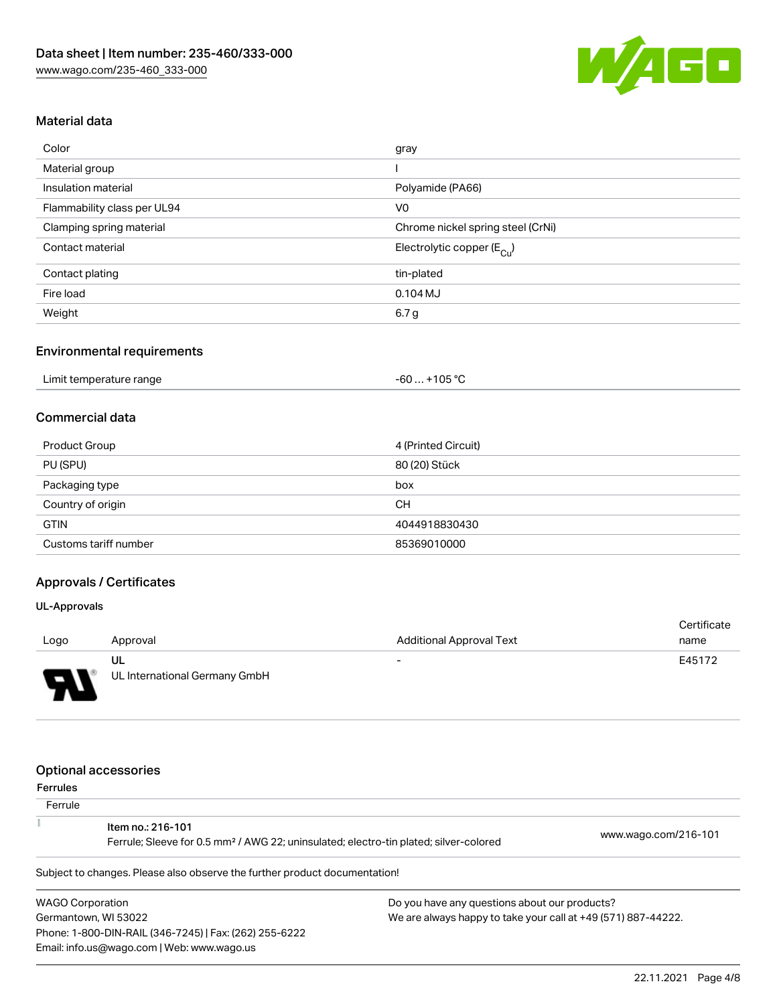![](_page_3_Picture_1.jpeg)

#### Material data

| Color                       | gray                                    |
|-----------------------------|-----------------------------------------|
| Material group              |                                         |
| Insulation material         | Polyamide (PA66)                        |
| Flammability class per UL94 | V <sub>0</sub>                          |
| Clamping spring material    | Chrome nickel spring steel (CrNi)       |
| Contact material            | Electrolytic copper ( $E_{\text{Cu}}$ ) |
| Contact plating             | tin-plated                              |
| Fire load                   | $0.104$ MJ                              |
| Weight                      | 6.7 g                                   |

#### Environmental requirements

| Limit temperature range | +105 °C<br>- 60 |  |
|-------------------------|-----------------|--|
|-------------------------|-----------------|--|

#### Commercial data

| Product Group         | 4 (Printed Circuit) |
|-----------------------|---------------------|
| PU (SPU)              | 80 (20) Stück       |
| Packaging type        | box                 |
| Country of origin     | CН                  |
| <b>GTIN</b>           | 4044918830430       |
| Customs tariff number | 85369010000         |

## Approvals / Certificates

#### UL-Approvals

|        |                               |                                 | Certificate |
|--------|-------------------------------|---------------------------------|-------------|
| Logo   | Approval                      | <b>Additional Approval Text</b> | name        |
|        | UL                            | $\overline{\phantom{0}}$        | E45172      |
| $\Box$ | UL International Germany GmbH |                                 |             |

#### Optional accessories

Email: info.us@wago.com | Web: www.wago.us

| Ferrules |  |
|----------|--|
|----------|--|

| .<br>Ferrule            |                                                                                                                        |                                                               |                      |
|-------------------------|------------------------------------------------------------------------------------------------------------------------|---------------------------------------------------------------|----------------------|
|                         | Item no.: 216-101<br>Ferrule; Sleeve for 0.5 mm <sup>2</sup> / AWG 22; uninsulated; electro-tin plated; silver-colored |                                                               | www.wago.com/216-101 |
|                         | Subject to changes. Please also observe the further product documentation!                                             |                                                               |                      |
| <b>WAGO Corporation</b> |                                                                                                                        | Do you have any questions about our products?                 |                      |
| Germantown, WI 53022    |                                                                                                                        | We are always happy to take your call at +49 (571) 887-44222. |                      |
|                         | Phone: 1-800-DIN-RAIL (346-7245)   Fax: (262) 255-6222                                                                 |                                                               |                      |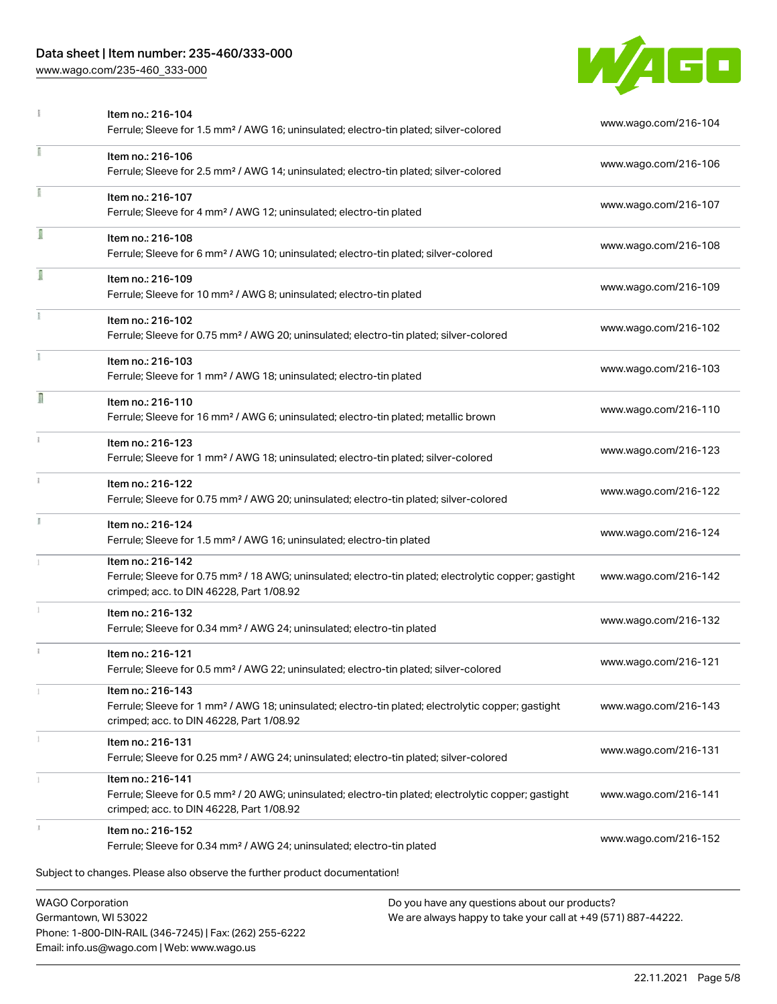## Data sheet | Item number: 235-460/333-000

Phone: 1-800-DIN-RAIL (346-7245) | Fax: (262) 255-6222

Email: info.us@wago.com | Web: www.wago.us

[www.wago.com/235-460\\_333-000](http://www.wago.com/235-460_333-000)

![](_page_4_Picture_2.jpeg)

|                         | Item no.: 216-104<br>Ferrule; Sleeve for 1.5 mm <sup>2</sup> / AWG 16; uninsulated; electro-tin plated; silver-colored                                                             |                                                                                                                | www.wago.com/216-104 |
|-------------------------|------------------------------------------------------------------------------------------------------------------------------------------------------------------------------------|----------------------------------------------------------------------------------------------------------------|----------------------|
| ı                       | Item no.: 216-106<br>Ferrule; Sleeve for 2.5 mm <sup>2</sup> / AWG 14; uninsulated; electro-tin plated; silver-colored                                                             |                                                                                                                | www.wago.com/216-106 |
| î.                      | Item no.: 216-107<br>Ferrule; Sleeve for 4 mm <sup>2</sup> / AWG 12; uninsulated; electro-tin plated                                                                               |                                                                                                                | www.wago.com/216-107 |
|                         | Item no.: 216-108<br>Ferrule; Sleeve for 6 mm <sup>2</sup> / AWG 10; uninsulated; electro-tin plated; silver-colored                                                               |                                                                                                                | www.wago.com/216-108 |
| ſ                       | Item no.: 216-109<br>Ferrule; Sleeve for 10 mm <sup>2</sup> / AWG 8; uninsulated; electro-tin plated                                                                               |                                                                                                                | www.wago.com/216-109 |
|                         | Item no.: 216-102<br>Ferrule; Sleeve for 0.75 mm <sup>2</sup> / AWG 20; uninsulated; electro-tin plated; silver-colored                                                            |                                                                                                                | www.wago.com/216-102 |
|                         | Item no.: 216-103<br>Ferrule; Sleeve for 1 mm <sup>2</sup> / AWG 18; uninsulated; electro-tin plated                                                                               |                                                                                                                | www.wago.com/216-103 |
| Π                       | Item no.: 216-110<br>Ferrule; Sleeve for 16 mm <sup>2</sup> / AWG 6; uninsulated; electro-tin plated; metallic brown                                                               |                                                                                                                | www.wago.com/216-110 |
| ī.                      | Item no.: 216-123<br>Ferrule; Sleeve for 1 mm <sup>2</sup> / AWG 18; uninsulated; electro-tin plated; silver-colored                                                               |                                                                                                                | www.wago.com/216-123 |
| î.                      | Item no.: 216-122<br>Ferrule; Sleeve for 0.75 mm <sup>2</sup> / AWG 20; uninsulated; electro-tin plated; silver-colored                                                            |                                                                                                                | www.wago.com/216-122 |
|                         | Item no.: 216-124<br>Ferrule; Sleeve for 1.5 mm <sup>2</sup> / AWG 16; uninsulated; electro-tin plated                                                                             |                                                                                                                | www.wago.com/216-124 |
|                         | Item no.: 216-142<br>Ferrule; Sleeve for 0.75 mm <sup>2</sup> / 18 AWG; uninsulated; electro-tin plated; electrolytic copper; gastight<br>crimped; acc. to DIN 46228, Part 1/08.92 |                                                                                                                | www.wago.com/216-142 |
|                         | Item no.: 216-132<br>Ferrule; Sleeve for 0.34 mm <sup>2</sup> / AWG 24; uninsulated; electro-tin plated                                                                            |                                                                                                                | www.wago.com/216-132 |
|                         | Item no.: 216-121<br>Ferrule; Sleeve for 0.5 mm <sup>2</sup> / AWG 22; uninsulated; electro-tin plated; silver-colored                                                             |                                                                                                                | www.wago.com/216-121 |
|                         | Item no.: 216-143<br>Ferrule; Sleeve for 1 mm <sup>2</sup> / AWG 18; uninsulated; electro-tin plated; electrolytic copper; gastight<br>crimped; acc. to DIN 46228, Part 1/08.92    |                                                                                                                | www.wago.com/216-143 |
|                         | Item no.: 216-131<br>Ferrule; Sleeve for 0.25 mm <sup>2</sup> / AWG 24; uninsulated; electro-tin plated; silver-colored                                                            |                                                                                                                | www.wago.com/216-131 |
|                         | Item no.: 216-141<br>Ferrule; Sleeve for 0.5 mm <sup>2</sup> / 20 AWG; uninsulated; electro-tin plated; electrolytic copper; gastight<br>crimped; acc. to DIN 46228, Part 1/08.92  |                                                                                                                | www.wago.com/216-141 |
|                         | Item no.: 216-152<br>Ferrule; Sleeve for 0.34 mm <sup>2</sup> / AWG 24; uninsulated; electro-tin plated                                                                            |                                                                                                                | www.wago.com/216-152 |
|                         | Subject to changes. Please also observe the further product documentation!                                                                                                         |                                                                                                                |                      |
| <b>WAGO Corporation</b> | Germantown, WI 53022                                                                                                                                                               | Do you have any questions about our products?<br>We are always happy to take your call at +49 (571) 887-44222. |                      |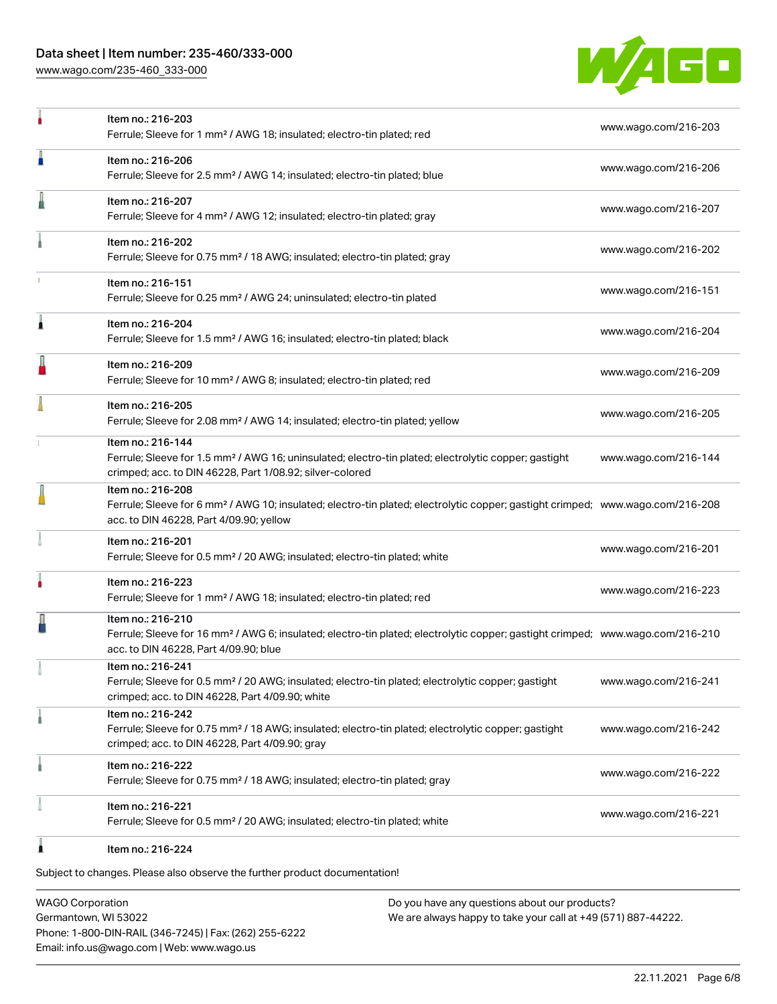#### Data sheet | Item number: 235-460/333-000

[www.wago.com/235-460\\_333-000](http://www.wago.com/235-460_333-000)

![](_page_5_Picture_2.jpeg)

|   | Item no.: 216-203<br>Ferrule; Sleeve for 1 mm <sup>2</sup> / AWG 18; insulated; electro-tin plated; red                                                                                                    | www.wago.com/216-203 |
|---|------------------------------------------------------------------------------------------------------------------------------------------------------------------------------------------------------------|----------------------|
| п | Item no.: 216-206<br>Ferrule; Sleeve for 2.5 mm <sup>2</sup> / AWG 14; insulated; electro-tin plated; blue                                                                                                 | www.wago.com/216-206 |
|   | Item no.: 216-207<br>Ferrule; Sleeve for 4 mm <sup>2</sup> / AWG 12; insulated; electro-tin plated; gray                                                                                                   | www.wago.com/216-207 |
|   | Item no.: 216-202<br>Ferrule; Sleeve for 0.75 mm <sup>2</sup> / 18 AWG; insulated; electro-tin plated; gray                                                                                                | www.wago.com/216-202 |
|   | Item no.: 216-151<br>Ferrule; Sleeve for 0.25 mm <sup>2</sup> / AWG 24; uninsulated; electro-tin plated                                                                                                    | www.wago.com/216-151 |
| Â | Item no.: 216-204<br>Ferrule; Sleeve for 1.5 mm <sup>2</sup> / AWG 16; insulated; electro-tin plated; black                                                                                                | www.wago.com/216-204 |
|   | Item no.: 216-209<br>Ferrule; Sleeve for 10 mm <sup>2</sup> / AWG 8; insulated; electro-tin plated; red                                                                                                    | www.wago.com/216-209 |
|   | Item no.: 216-205<br>Ferrule; Sleeve for 2.08 mm <sup>2</sup> / AWG 14; insulated; electro-tin plated; yellow                                                                                              | www.wago.com/216-205 |
|   | Item no.: 216-144<br>Ferrule; Sleeve for 1.5 mm <sup>2</sup> / AWG 16; uninsulated; electro-tin plated; electrolytic copper; gastight<br>crimped; acc. to DIN 46228, Part 1/08.92; silver-colored          | www.wago.com/216-144 |
|   | Item no.: 216-208<br>Ferrule; Sleeve for 6 mm <sup>2</sup> / AWG 10; insulated; electro-tin plated; electrolytic copper; gastight crimped; www.wago.com/216-208<br>acc. to DIN 46228, Part 4/09.90; yellow |                      |
|   | Item no.: 216-201<br>Ferrule; Sleeve for 0.5 mm <sup>2</sup> / 20 AWG; insulated; electro-tin plated; white                                                                                                | www.wago.com/216-201 |
| ۸ | Item no.: 216-223<br>Ferrule; Sleeve for 1 mm <sup>2</sup> / AWG 18; insulated; electro-tin plated; red                                                                                                    | www.wago.com/216-223 |
|   | Item no.: 216-210<br>Ferrule; Sleeve for 16 mm <sup>2</sup> / AWG 6; insulated; electro-tin plated; electrolytic copper; gastight crimped; www.wago.com/216-210<br>acc. to DIN 46228, Part 4/09.90; blue   |                      |
|   | Item no.: 216-241<br>Ferrule; Sleeve for 0.5 mm <sup>2</sup> / 20 AWG; insulated; electro-tin plated; electrolytic copper; gastight<br>crimped; acc. to DIN 46228, Part 4/09.90; white                     | www.wago.com/216-241 |
|   | Item no.: 216-242<br>Ferrule; Sleeve for 0.75 mm <sup>2</sup> / 18 AWG; insulated; electro-tin plated; electrolytic copper; gastight<br>crimped; acc. to DIN 46228, Part 4/09.90; gray                     | www.wago.com/216-242 |
|   | Item no.: 216-222<br>Ferrule; Sleeve for 0.75 mm <sup>2</sup> / 18 AWG; insulated; electro-tin plated; gray                                                                                                | www.wago.com/216-222 |
|   | Item no.: 216-221<br>Ferrule; Sleeve for 0.5 mm <sup>2</sup> / 20 AWG; insulated; electro-tin plated; white                                                                                                | www.wago.com/216-221 |
|   | Item no.: 216-224                                                                                                                                                                                          |                      |

Subject to changes. Please also observe the further product documentation!

WAGO Corporation Germantown, WI 53022 Phone: 1-800-DIN-RAIL (346-7245) | Fax: (262) 255-6222 Email: info.us@wago.com | Web: www.wago.us

Do you have any questions about our products? We are always happy to take your call at +49 (571) 887-44222.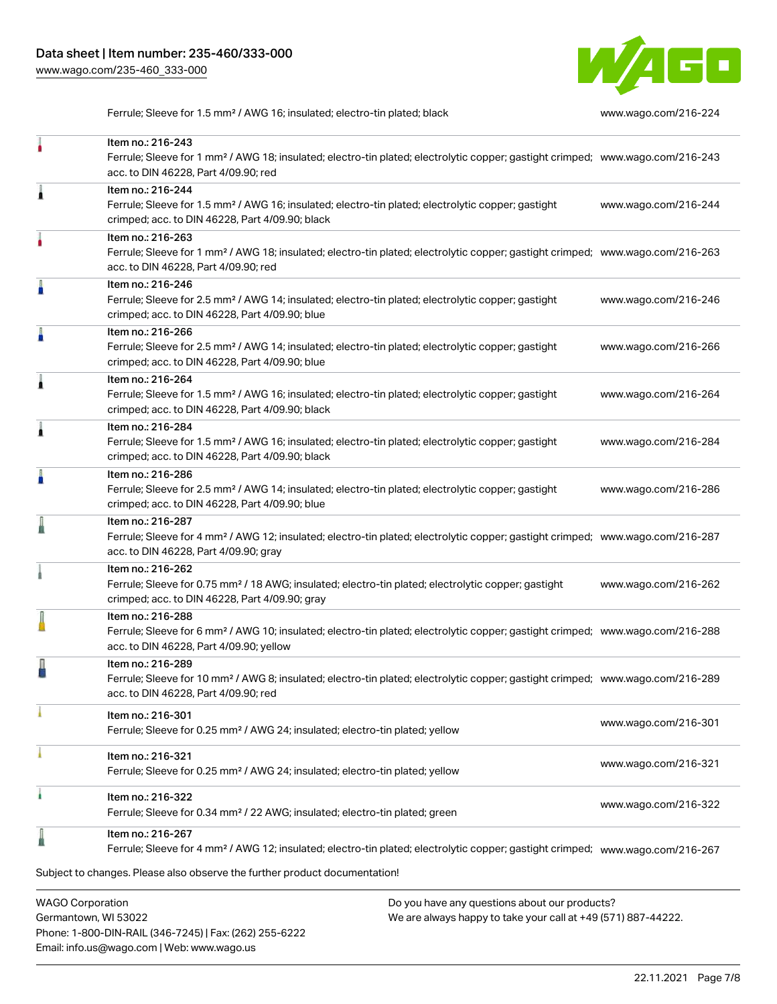![](_page_6_Picture_1.jpeg)

Ferrule; Sleeve for 1.5 mm<sup>2</sup> / AWG 16; insulated; electro-tin plated; black [www.wago.com/216-224](http://www.wago.com/216-224)

|                         | Item no.: 216-243<br>Ferrule; Sleeve for 1 mm <sup>2</sup> / AWG 18; insulated; electro-tin plated; electrolytic copper; gastight crimped; www.wago.com/216-243<br>acc. to DIN 46228, Part 4/09.90; red    |                                               |                      |
|-------------------------|------------------------------------------------------------------------------------------------------------------------------------------------------------------------------------------------------------|-----------------------------------------------|----------------------|
| Â                       | Item no.: 216-244<br>Ferrule; Sleeve for 1.5 mm <sup>2</sup> / AWG 16; insulated; electro-tin plated; electrolytic copper; gastight<br>crimped; acc. to DIN 46228, Part 4/09.90; black                     |                                               | www.wago.com/216-244 |
|                         | Item no.: 216-263<br>Ferrule; Sleeve for 1 mm <sup>2</sup> / AWG 18; insulated; electro-tin plated; electrolytic copper; gastight crimped; www.wago.com/216-263<br>acc. to DIN 46228, Part 4/09.90; red    |                                               |                      |
|                         | Item no.: 216-246<br>Ferrule; Sleeve for 2.5 mm <sup>2</sup> / AWG 14; insulated; electro-tin plated; electrolytic copper; gastight<br>crimped; acc. to DIN 46228, Part 4/09.90; blue                      |                                               | www.wago.com/216-246 |
| A                       | Item no.: 216-266<br>Ferrule; Sleeve for 2.5 mm <sup>2</sup> / AWG 14; insulated; electro-tin plated; electrolytic copper; gastight<br>crimped; acc. to DIN 46228, Part 4/09.90; blue                      |                                               | www.wago.com/216-266 |
|                         | Item no.: 216-264<br>Ferrule; Sleeve for 1.5 mm <sup>2</sup> / AWG 16; insulated; electro-tin plated; electrolytic copper; gastight<br>crimped; acc. to DIN 46228, Part 4/09.90; black                     |                                               | www.wago.com/216-264 |
|                         | Item no.: 216-284<br>Ferrule; Sleeve for 1.5 mm <sup>2</sup> / AWG 16; insulated; electro-tin plated; electrolytic copper; gastight<br>crimped; acc. to DIN 46228, Part 4/09.90; black                     |                                               | www.wago.com/216-284 |
|                         | Item no.: 216-286<br>Ferrule; Sleeve for 2.5 mm <sup>2</sup> / AWG 14; insulated; electro-tin plated; electrolytic copper; gastight<br>crimped; acc. to DIN 46228, Part 4/09.90; blue                      |                                               | www.wago.com/216-286 |
|                         | Item no.: 216-287<br>Ferrule; Sleeve for 4 mm <sup>2</sup> / AWG 12; insulated; electro-tin plated; electrolytic copper; gastight crimped; www.wago.com/216-287<br>acc. to DIN 46228, Part 4/09.90; gray   |                                               |                      |
|                         | Item no.: 216-262<br>Ferrule; Sleeve for 0.75 mm <sup>2</sup> / 18 AWG; insulated; electro-tin plated; electrolytic copper; gastight<br>crimped; acc. to DIN 46228, Part 4/09.90; gray                     |                                               | www.wago.com/216-262 |
|                         | Item no.: 216-288<br>Ferrule; Sleeve for 6 mm <sup>2</sup> / AWG 10; insulated; electro-tin plated; electrolytic copper; gastight crimped; www.wago.com/216-288<br>acc. to DIN 46228, Part 4/09.90; yellow |                                               |                      |
|                         | Item no.: 216-289<br>Ferrule; Sleeve for 10 mm <sup>2</sup> / AWG 8; insulated; electro-tin plated; electrolytic copper; gastight crimped; www.wago.com/216-289<br>acc. to DIN 46228, Part 4/09.90; red    |                                               |                      |
|                         | Item no.: 216-301<br>Ferrule; Sleeve for 0.25 mm <sup>2</sup> / AWG 24; insulated; electro-tin plated; yellow                                                                                              |                                               | www.wago.com/216-301 |
|                         | Item no.: 216-321<br>Ferrule; Sleeve for 0.25 mm <sup>2</sup> / AWG 24; insulated; electro-tin plated; yellow                                                                                              |                                               | www.wago.com/216-321 |
|                         | Item no.: 216-322<br>Ferrule; Sleeve for 0.34 mm <sup>2</sup> / 22 AWG; insulated; electro-tin plated; green                                                                                               |                                               | www.wago.com/216-322 |
|                         | Item no.: 216-267<br>Ferrule; Sleeve for 4 mm <sup>2</sup> / AWG 12; insulated; electro-tin plated; electrolytic copper; gastight crimped; www.wago.com/216-267                                            |                                               |                      |
| <b>WAGO Corporation</b> | Subject to changes. Please also observe the further product documentation!                                                                                                                                 | Do you have any questions about our products? |                      |

Germantown, WI 53022 Phone: 1-800-DIN-RAIL (346-7245) | Fax: (262) 255-6222 Email: info.us@wago.com | Web: www.wago.us

We are always happy to take your call at +49 (571) 887-44222.